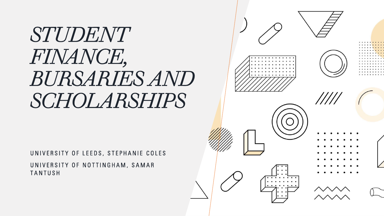# *STUDENT FINANCE, BURSARIES AND SCHOLARSHIPS*

UNIVERSITY OF LEEDS, STEPHANIE COLES UNIVERSITY OF NOTTINGHAM, SAMAR **TANTUSH** 

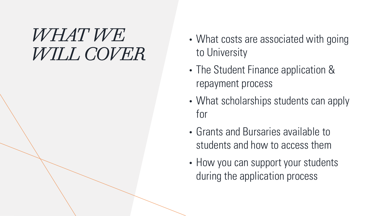## *WHAT WE WILL COVER*

- What costs are associated with going to University
- The Student Finance application & repayment process
- What scholarships students can apply for
- Grants and Bursaries available to students and how to access them
- How you can support your students during the application process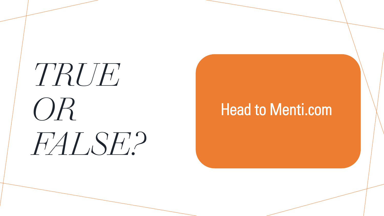# *TRUE OR FALSE?*

## Head to Menti.com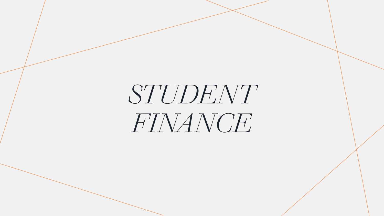# *STUDENT FINANCE*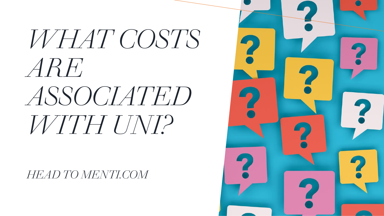# *WHAT COSTS ARE ASSOCIATED WITH UNI?*

*HEAD TO MENTI.COM*

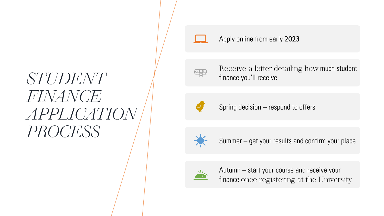## *STUDENT FINANCE APPLICATION PROCESS*



#### Apply online from early 2023



Receive a letter detailing how much student finance you'll receive



Spring decision – respond to offers



Summer – get your results and confirm your place



Autumn – start your course and receive your finance once registering at the University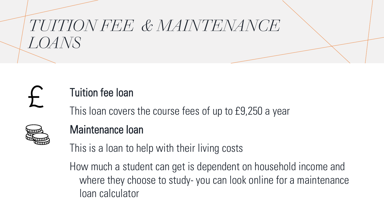# *TUITION FEE & MAINTENANCE LOANS*

## Tuition fee loan

This loan covers the course fees of up to £9,250 a year



### Maintenance loan

This is a loan to help with their living costs

How much a student can get is dependent on household income and where they choose to study- you can look online for a maintenance loan calculator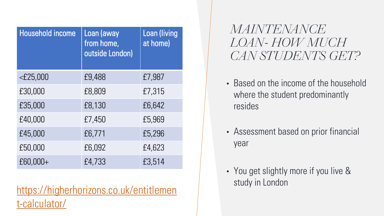| <b>Household income</b> | Loan (away<br>from home,<br>outside London) | <b>Loan (living</b><br>at home) |
|-------------------------|---------------------------------------------|---------------------------------|
| $<$ £25,000             | £9,488                                      | £7,987                          |
| £30,000                 | £8,809                                      | £7,315                          |
| £35,000                 | £8,130                                      | £6,642                          |
| £40,000                 | £7,450                                      | £5,969                          |
| £45,000                 | £6,771                                      | £5,296                          |
| £50,000                 | £6,092                                      | £4,623                          |
| £60,000+                | £4,733                                      | £3,514                          |

[https://higherhorizons.co.uk/entitlemen](https://higherhorizons.co.uk/entitlement-calculator/) t-calculator/

*MAINTENANCE LOAN- HOW MUCH CAN STUDENTS GET?*

- Based on the income of the household where the student predominantly resides
- Assessment based on prior financial year
- You get slightly more if you live & study in London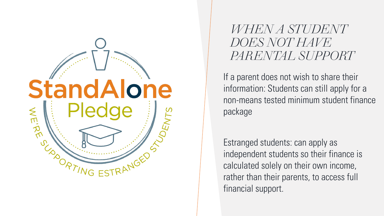

*WHEN A STUDENT DOES NOT HAVE PARENTAL SUPPORT*

If a parent does not wish to share their information: Students can still apply for a non-means tested minimum student finance package

Estranged students: can apply as independent students so their finance is calculated solely on their own income, rather than their parents, to access full financial support.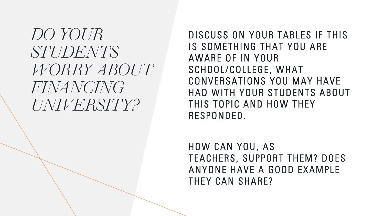*DO YOUR STUDENTS WORRY ABOUT FINANCING UNIVERSITY?*

DISCUSS ON YOUR TABLES IF THIS IS SOMETHING THAT YOU ARE AWARE OF IN YOUR SCHOOL/COLLEGE, WHAT CONVERSATIONS YOU MAY HAVE HAD WITH YOUR STUDENTS ABOUT THIS TOPIC AND HOW THEY RESPONDED.

HOW CAN YOU, AS TEACHERS, SUPPORT THEM? DOES ANYONE HAVE A GOOD EXAMPLE THEY CAN SHARE?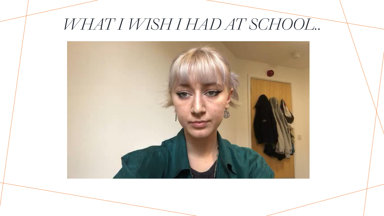## *WHAT I WISH I HAD AT SCHOOL..*

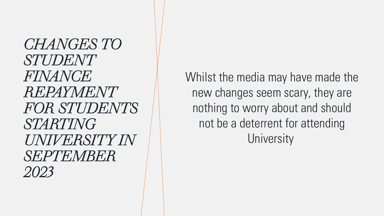## *CHANGES TO STUDENT FINANCE REPAYMENT FOR STUDENTS STARTING UNIVERSITY IN SEPTEMBER 2023*

Whilst the media may have made the new changes seem scary, they are nothing to worry about and should not be a deterrent for attending **University**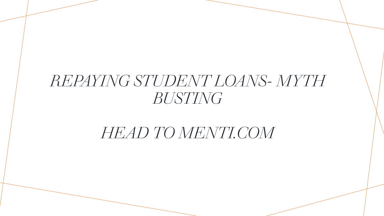## *REPAYING STUDENT LOANS- MYTH BUSTING*

## *HEAD TO MENTI.COM*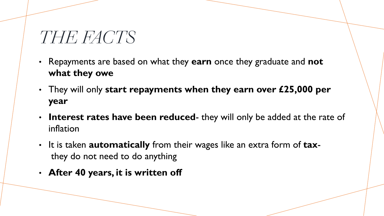## *THE FACTS*

- Repayments are based on what they **earn** once they graduate and **not what they owe**
- They will only **start repayments when they earn over £25,000 per year**
- **Interest rates have been reduced** they will only be added at the rate of inflation
- It is taken **automatically** from their wages like an extra form of **tax**they do not need to do anything
- **After 40 years, it is written off**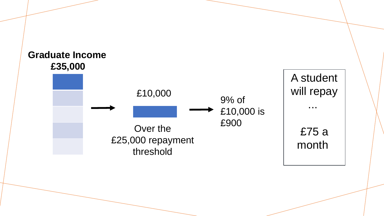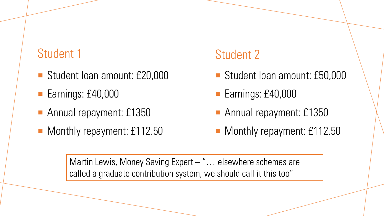### Student 1

- Student Ioan amount: £20,000
- Earnings: £40,000
- Annual repayment: £1350
- Monthly repayment: £112.50

### Student 2

- Student Ioan amount: £50,000
- Earnings: £40,000
- Annual repayment: £1350
- Monthly repayment: £112.50

Martin Lewis, Money Saving Expert – "... elsewhere schemes are called a graduate contribution system, we should call it this too"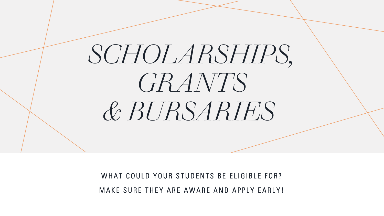# *SCHOLARSHIPS, GRANTS & BURSARIES*

WHAT COULD YOUR STUDENTS BE ELIGIBLE FOR? MAKE SURE THEY ARE AWARE AND APPLY EARLY!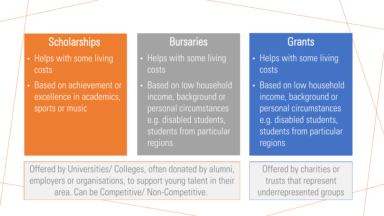#### **Scholarships**

- Helps with some living costs
- Based on achievement or excellence in academics, sports or music

#### **Bursaries**

- Helps with some living costs
- Based on low household income, background or personal circumstances e.g. disabled students, students from particular regions

#### **Grants**

- Helps with some living costs
- Based on low household income, background or personal circumstances e.g. disabled students, students from particular regions

Offered by Universities/ Colleges, often donated by alumni, employers or organisations, to support young talent in their area. Can be Competitive/ Non-Competitive.

Offered by charities or trusts that represent underrepresented groups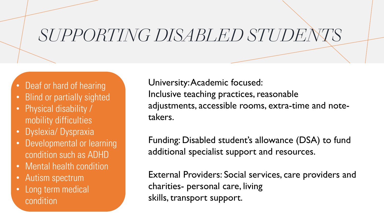# *SUPPORTING DISABLED STUDENTS*

- Deaf or hard of hearing
- Blind or partially sighted
- Physical disability / mobility difficulties
- Dyslexia/ Dyspraxia
- Developmental or learning condition such as ADHD
- Mental health condition
- Autism spectrum
- Long term medical condition

University: Academic focused: Inclusive teaching practices, reasonable adjustments, accessible rooms, extra-time and notetakers.

Funding: Disabled student's allowance (DSA) to fund additional specialist support and resources.

External Providers: Social services, care providers and charities- personal care, living skills, transport support.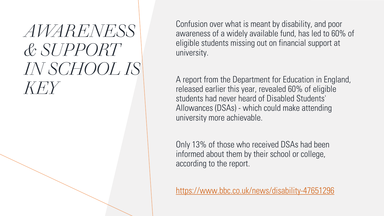# *AWARENESS & SUPPORT IN SCHOOL IS KEY*

Confusion over what is meant by disability, and poor awareness of a widely available fund, has led to 60% of eligible students missing out on financial support at university.

A report from the Department for Education in England, released earlier this year, revealed 60% of eligible students had never heard of Disabled Students' Allowances (DSAs) - which could make attending university more achievable.

Only 13% of those who received DSAs had been informed about them by their school or college, according to the report.

<https://www.bbc.co.uk/news/disability-47651296>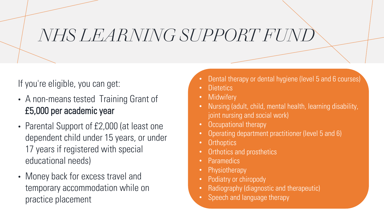# *NHS LEARNING SUPPORT FUND*

#### If you're eligible, you can get:

- A non-means tested Training Grant of £5,000 per academic year
- Parental Support of £2,000 (at least one dependent child under 15 years, or under 17 years if registered with special educational needs)
- Money back for excess travel and temporary accommodation while on practice placement
- Dental therapy or dental hygiene (level 5 and 6 courses)
- Dietetics
- Midwifery
- Nursing (adult, child, mental health, learning disability, joint nursing and social work)
- Occupational therapy
- Operating department practitioner (level 5 and 6)
- **Orthoptics**
- Orthotics and prosthetics
- Paramedics
- **Physiotherapy**
- Podiatry or chiropody
- Radiography (diagnostic and therapeutic)
- Speech and language therapy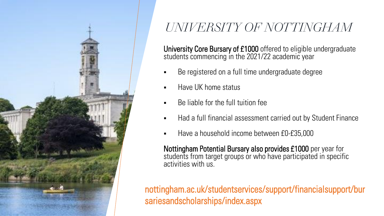

## *UNIVERSITY OF NOTTINGHAM*

University Core Bursary of £1000 offered to eligible undergraduate students commencing in the 2021/22 academic year

- Be registered on a full time undergraduate degree
- Have UK home status
- Be liable for the full tuition fee
- Had a full financial assessment carried out by Student Finance
- Have a household income between £0-£35,000

Nottingham Potential Bursary also provides £1000 per year for students from target groups or who have participated in specific activities with us.

nottingham.ac.uk/studentservices/support/financialsupport/bur sariesandscholarships/index.aspx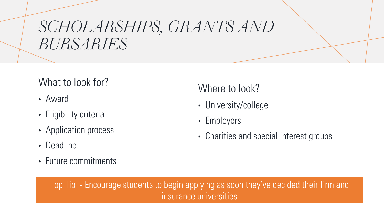## *SCHOLARSHIPS, GRANTS AND BURSARIES*

### What to look for?

- Award
- Eligibility criteria
- Application process
- Deadline
- Future commitments

### Where to look?

- University/college
- Employers
- Charities and special interest groups

Top Tip - Encourage students to begin applying as soon they've decided their firm and insurance universities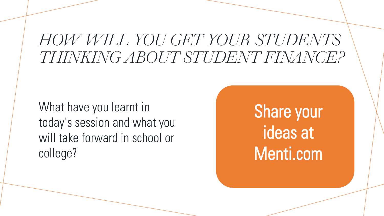## *HOW WILL YOU GET YOUR STUDENTS THINKING ABOUT STUDENT FINANCE?*

What have you learnt in today's session and what you will take forward in school or college?

Share your ideas at Menti.com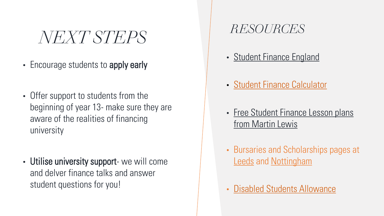*NEXT STEPS*

- Encourage students to apply early
- Offer support to students from the beginning of year 13- make sure they are aware of the realities of financing university
- Utilise university support- we will come and delver finance talks and answer student questions for you!

### *RESOURCES*

- [Student Finance England](https://studentfinance.campaign.gov.uk/)
- [Student Finance Calculator](https://www.gov.uk/student-finance-calculator)
- Free Student Finance Lesson plans from Martin Lewis
- Bursaries and Scholarships pages at **[Leeds](https://students.leeds.ac.uk/info/10230/university_scholarships_and_funds) and [Nottingham](https://www.nottingham.ac.uk/studentservices/support/financialsupport/bursariesandscholarships/index.aspx)**
- [Disabled Students Allowance](https://www.gov.uk/disabled-students-allowance-dsa)